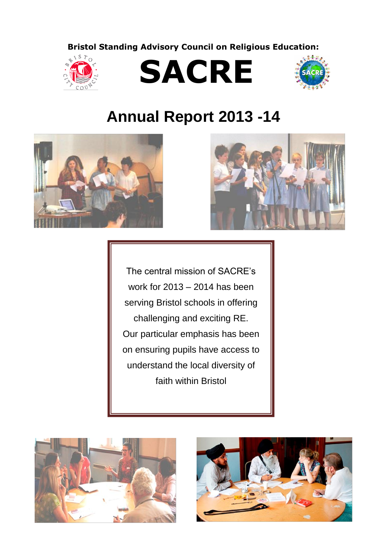**Bristol Standing Advisory Council on Religious Education:**







# **Annual Report 2013 -14**





The central mission of SACRE's work for 2013 – 2014 has been serving Bristol schools in offering challenging and exciting RE. Our particular emphasis has been on ensuring pupils have access to understand the local diversity of faith within Bristol



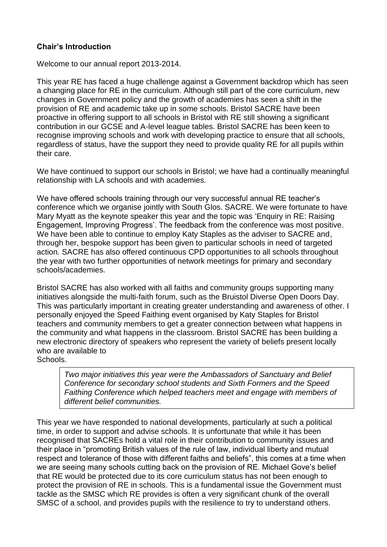# **Chair's Introduction**

Welcome to our annual report 2013-2014.

This year RE has faced a huge challenge against a Government backdrop which has seen a changing place for RE in the curriculum. Although still part of the core curriculum, new changes in Government policy and the growth of academies has seen a shift in the provision of RE and academic take up in some schools. Bristol SACRE have been proactive in offering support to all schools in Bristol with RE still showing a significant contribution in our GCSE and A-level league tables. Bristol SACRE has been keen to recognise improving schools and work with developing practice to ensure that all schools, regardless of status, have the support they need to provide quality RE for all pupils within their care.

We have continued to support our schools in Bristol; we have had a continually meaningful relationship with LA schools and with academies.

We have offered schools training through our very successful annual RE teacher's conference which we organise jointly with South Glos. SACRE. We were fortunate to have Mary Myatt as the keynote speaker this year and the topic was 'Enquiry in RE: Raising Engagement, Improving Progress'. The feedback from the conference was most positive. We have been able to continue to employ Katy Staples as the adviser to SACRE and, through her, bespoke support has been given to particular schools in need of targeted action. SACRE has also offered continuous CPD opportunities to all schools throughout the year with two further opportunities of network meetings for primary and secondary schools/academies.

Bristol SACRE has also worked with all faiths and community groups supporting many initiatives alongside the multi-faith forum, such as the Bruistol Diverse Open Doors Day. This was particularly important in creating greater understanding and awareness of other. I personally enjoyed the Speed Faithing event organised by Katy Staples for Bristol teachers and community members to get a greater connection between what happens in the community and what happens in the classroom. Bristol SACRE has been building a new electronic directory of speakers who represent the variety of beliefs present locally who are available to

Schools.

*Two major initiatives this year were the Ambassadors of Sanctuary and Belief Conference for secondary school students and Sixth Formers and the Speed Faithing Conference which helped teachers meet and engage with members of different belief communities.*

This year we have responded to national developments, particularly at such a political time, in order to support and advise schools. It is unfortunate that while it has been recognised that SACREs hold a vital role in their contribution to community issues and their place in "promoting British values of the rule of law, individual liberty and mutual respect and tolerance of those with different faiths and beliefs", this comes at a time when we are seeing many schools cutting back on the provision of RE. Michael Gove's belief that RE would be protected due to its core curriculum status has not been enough to protect the provision of RE in schools. This is a fundamental issue the Government must tackle as the SMSC which RE provides is often a very significant chunk of the overall SMSC of a school, and provides pupils with the resilience to try to understand others.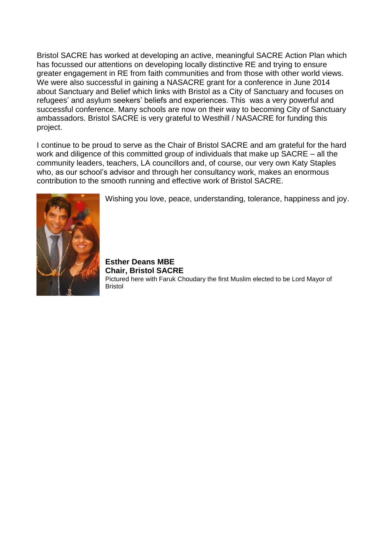Bristol SACRE has worked at developing an active, meaningful SACRE Action Plan which has focussed our attentions on developing locally distinctive RE and trying to ensure greater engagement in RE from faith communities and from those with other world views. We were also successful in gaining a NASACRE grant for a conference in June 2014 about Sanctuary and Belief which links with Bristol as a City of Sanctuary and focuses on refugees' and asylum seekers' beliefs and experiences. This was a very powerful and successful conference. Many schools are now on their way to becoming City of Sanctuary ambassadors. Bristol SACRE is very grateful to Westhill / NASACRE for funding this project.

I continue to be proud to serve as the Chair of Bristol SACRE and am grateful for the hard work and diligence of this committed group of individuals that make up SACRE – all the community leaders, teachers, LA councillors and, of course, our very own Katy Staples who, as our school's advisor and through her consultancy work, makes an enormous contribution to the smooth running and effective work of Bristol SACRE.



Wishing you love, peace, understanding, tolerance, happiness and joy.

**Esther Deans MBE Chair, Bristol SACRE** Pictured here with Faruk Choudary the first Muslim elected to be Lord Mayor of Bristol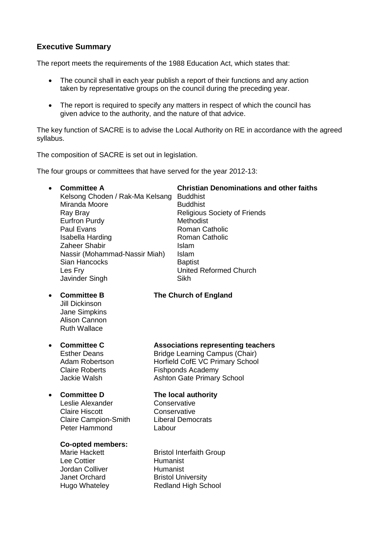# **Executive Summary**

The report meets the requirements of the 1988 Education Act, which states that:

- The council shall in each year publish a report of their functions and any action taken by representative groups on the council during the preceding year.
- The report is required to specify any matters in respect of which the council has given advice to the authority, and the nature of that advice.

The key function of SACRE is to advise the Local Authority on RE in accordance with the agreed syllabus.

The composition of SACRE is set out in legislation.

The four groups or committees that have served for the year 2012-13:

 **Committee A Christian Denominations and other faiths** Kelsong Choden / Rak-Ma Kelsang Buddhist Miranda Moore Buddhist Ray Bray Religious Society of Friends Eurfron Purdy **Methodist** Paul Evans **Roman Catholic** Roman Catholic Isabella Harding **Roman Catholic** Zaheer Shabir **Islam** Nassir (Mohammad-Nassir Miah) Islam Sian Hancocks **Baptist** Les Fry United Reformed Church Javinder Singh Sikh

Jill Dickinson Jane Simpkins Alison Cannon Ruth Wallace

# **Committee B The Church of England**

Leslie Alexander Conservative Claire Hiscott Conservative Claire Campion-Smith Liberal Democrats Peter Hammond Labour

#### **Co-opted members:**

Lee Cottier **Humanist** Jordan Colliver Humanist Janet Orchard Bristol University

 **Committee C Associations representing teachers** Esther Deans **Bridge Learning Campus (Chair)** 

Adam Robertson Horfield CofE VC Primary School Claire Roberts **Fishponds Academy** Jackie Walsh Ashton Gate Primary School

### **Committee D The local authority**

Marie Hackett **Bristol Interfaith Group** Hugo Whateley Redland High School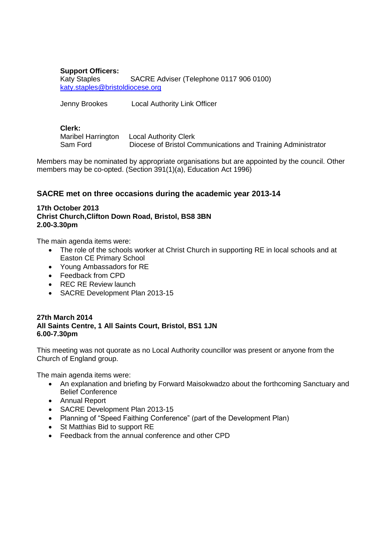#### **Support Officers:** Katy Staples SACRE Adviser (Telephone 0117 906 0100) [katy.staples@bristoldiocese.org](mailto:katy.staples@bristoldiocese.org)

Jenny Brookes Local Authority Link Officer

#### **Clerk:**

Maribel Harrington Local Authority Clerk Sam Ford Diocese of Bristol Communications and Training Administrator

Members may be nominated by appropriate organisations but are appointed by the council. Other members may be co-opted. (Section 391(1)(a), Education Act 1996)

# **SACRE met on three occasions during the academic year 2013-14**

#### **17th October 2013 Christ Church,Clifton Down Road, Bristol, BS8 3BN 2.00-3.30pm**

The main agenda items were:

- The role of the schools worker at Christ Church in supporting RE in local schools and at Easton CE Primary School
- Young Ambassadors for RE
- Feedback from CPD
- REC RE Review launch
- SACRE Development Plan 2013-15

#### **27th March 2014 All Saints Centre, 1 All Saints Court, Bristol, BS1 1JN 6.00-7.30pm**

This meeting was not quorate as no Local Authority councillor was present or anyone from the Church of England group.

The main agenda items were:

- An explanation and briefing by Forward Maisokwadzo about the forthcoming Sanctuary and Belief Conference
- Annual Report
- SACRE Development Plan 2013-15
- Planning of "Speed Faithing Conference" (part of the Development Plan)
- St Matthias Bid to support RE
- Feedback from the annual conference and other CPD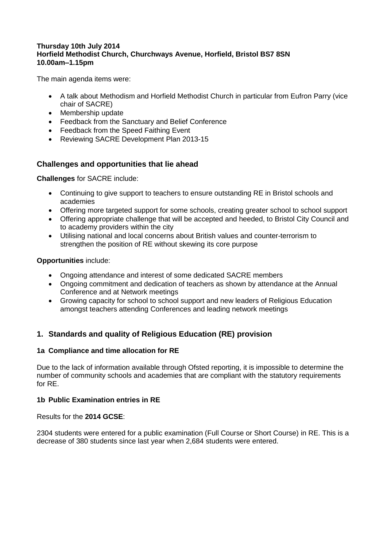#### **Thursday 10th July 2014 Horfield Methodist Church, Churchways Avenue, Horfield, Bristol BS7 8SN 10.00am–1.15pm**

The main agenda items were:

- A talk about Methodism and Horfield Methodist Church in particular from Eufron Parry (vice chair of SACRE)
- Membership update
- Feedback from the Sanctuary and Belief Conference
- Feedback from the Speed Faithing Event
- Reviewing SACRE Development Plan 2013-15

# **Challenges and opportunities that lie ahead**

**Challenges** for SACRE include:

- Continuing to give support to teachers to ensure outstanding RE in Bristol schools and academies
- Offering more targeted support for some schools, creating greater school to school support
- Offering appropriate challenge that will be accepted and heeded, to Bristol City Council and to academy providers within the city
- Utilising national and local concerns about British values and counter-terrorism to strengthen the position of RE without skewing its core purpose

**Opportunities** include:

- Ongoing attendance and interest of some dedicated SACRE members
- Ongoing commitment and dedication of teachers as shown by attendance at the Annual Conference and at Network meetings
- Growing capacity for school to school support and new leaders of Religious Education amongst teachers attending Conferences and leading network meetings

# **1. Standards and quality of Religious Education (RE) provision**

# **1a Compliance and time allocation for RE**

Due to the lack of information available through Ofsted reporting, it is impossible to determine the number of community schools and academies that are compliant with the statutory requirements for RE.

# **1b Public Examination entries in RE**

Results for the **2014 GCSE**:

2304 students were entered for a public examination (Full Course or Short Course) in RE. This is a decrease of 380 students since last year when 2,684 students were entered.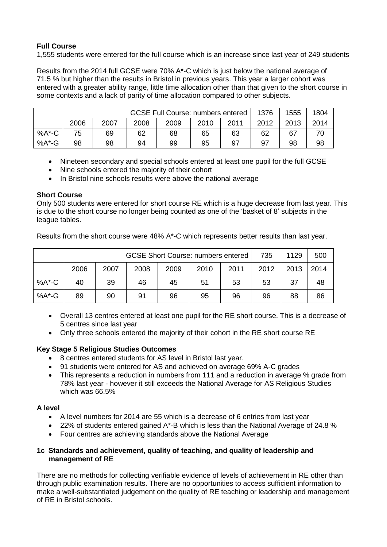# **Full Course**

1,555 students were entered for the full course which is an increase since last year of 249 students

Results from the 2014 full GCSE were 70% A\*-C which is just below the national average of 71.5 % but higher than the results in Bristol in previous years. This year a larger cohort was entered with a greater ability range, little time allocation other than that given to the short course in some contexts and a lack of parity of time allocation compared to other subjects.

| <b>GCSE Full Course: numbers entered</b> |      |      |      |      |      | 1376 | 1555 | 1804 |      |
|------------------------------------------|------|------|------|------|------|------|------|------|------|
|                                          | 2006 | 2007 | 2008 | 2009 | 2010 | 2011 | 2012 | 2013 | 2014 |
| $%A$ <sup>*</sup> -C                     | 75   | 69   | 62   | 68   | 65   | 63   | 62   | 67   |      |
| %A*-G                                    | 98   | 98   | 94   | 99   | 95   | 97   | 97   | 98   | 98   |

- Nineteen secondary and special schools entered at least one pupil for the full GCSE
- Nine schools entered the majority of their cohort
- In Bristol nine schools results were above the national average

#### **Short Course**

Only 500 students were entered for short course RE which is a huge decrease from last year. This is due to the short course no longer being counted as one of the 'basket of 8' subjects in the league tables.

Results from the short course were 48% A\*-C which represents better results than last year.

| <b>GCSE Short Course: numbers entered</b> |      |      |      |      |      | 735  | 1129 | 500  |      |
|-------------------------------------------|------|------|------|------|------|------|------|------|------|
|                                           | 2006 | 2007 | 2008 | 2009 | 2010 | 2011 | 2012 | 2013 | 2014 |
| $%A$ <sup>*</sup> -C                      | 40   | 39   | 46   | 45   | 51   | 53   | 53   | 37   | 48   |
| $%A$ <sup>*</sup> -G                      | 89   | 90   | 91   | 96   | 95   | 96   | 96   | 88   | 86   |

- Overall 13 centres entered at least one pupil for the RE short course. This is a decrease of 5 centres since last year
- Only three schools entered the majority of their cohort in the RE short course RE

#### **Key Stage 5 Religious Studies Outcomes**

- 8 centres entered students for AS level in Bristol last year.
- 91 students were entered for AS and achieved on average 69% A-C grades
- This represents a reduction in numbers from 111 and a reduction in average % grade from 78% last year - however it still exceeds the National Average for AS Religious Studies which was 66.5%

#### **A level**

- A level numbers for 2014 are 55 which is a decrease of 6 entries from last year
- $\bullet$  22% of students entered gained A\*-B which is less than the National Average of 24.8 %
- Four centres are achieving standards above the National Average

#### **1c Standards and achievement, quality of teaching, and quality of leadership and management of RE**

There are no methods for collecting verifiable evidence of levels of achievement in RE other than through public examination results. There are no opportunities to access sufficient information to make a well-substantiated judgement on the quality of RE teaching or leadership and management of RE in Bristol schools.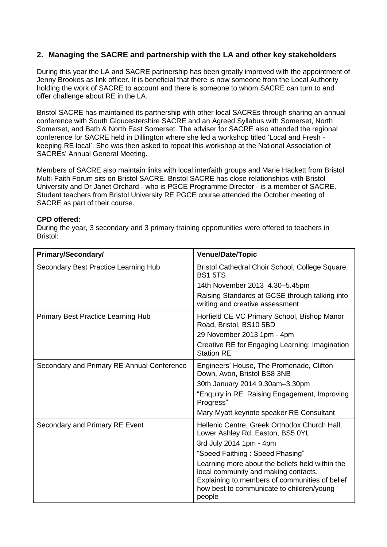# **2. Managing the SACRE and partnership with the LA and other key stakeholders**

During this year the LA and SACRE partnership has been greatly improved with the appointment of Jenny Brookes as link officer. It is beneficial that there is now someone from the Local Authority holding the work of SACRE to account and there is someone to whom SACRE can turn to and offer challenge about RE in the LA.

Bristol SACRE has maintained its partnership with other local SACREs through sharing an annual conference with South Gloucestershire SACRE and an Agreed Syllabus with Somerset, North Somerset, and Bath & North East Somerset. The adviser for SACRE also attended the regional conference for SACRE held in Dillington where she led a workshop titled 'Local and Fresh keeping RE local'. She was then asked to repeat this workshop at the National Association of SACREs' Annual General Meeting.

Members of SACRE also maintain links with local interfaith groups and Marie Hackett from Bristol Multi-Faith Forum sits on Bristol SACRE. Bristol SACRE has close relationships with Bristol University and Dr Janet Orchard - who is PGCE Programme Director - is a member of SACRE. Student teachers from Bristol University RE PGCE course attended the October meeting of SACRE as part of their course.

#### **CPD offered:**

During the year, 3 secondary and 3 primary training opportunities were offered to teachers in Bristol:

| Primary/Secondary/                         | <b>Venue/Date/Topic</b>                                                                                                                                                                          |
|--------------------------------------------|--------------------------------------------------------------------------------------------------------------------------------------------------------------------------------------------------|
| Secondary Best Practice Learning Hub       | Bristol Cathedral Choir School, College Square,<br><b>BS15TS</b>                                                                                                                                 |
|                                            | 14th November 2013 4.30-5.45pm                                                                                                                                                                   |
|                                            | Raising Standards at GCSE through talking into<br>writing and creative assessment                                                                                                                |
| <b>Primary Best Practice Learning Hub</b>  | Horfield CE VC Primary School, Bishop Manor<br>Road, Bristol, BS10 5BD                                                                                                                           |
|                                            | 29 November 2013 1pm - 4pm                                                                                                                                                                       |
|                                            | Creative RE for Engaging Learning: Imagination<br><b>Station RE</b>                                                                                                                              |
| Secondary and Primary RE Annual Conference | Engineers' House, The Promenade, Clifton<br>Down, Avon, Bristol BS8 3NB                                                                                                                          |
|                                            | 30th January 2014 9.30am-3.30pm                                                                                                                                                                  |
|                                            | "Enquiry in RE: Raising Engagement, Improving<br>Progress"                                                                                                                                       |
|                                            | Mary Myatt keynote speaker RE Consultant                                                                                                                                                         |
| Secondary and Primary RE Event             | Hellenic Centre, Greek Orthodox Church Hall,<br>Lower Ashley Rd, Easton, BS5 0YL                                                                                                                 |
|                                            | 3rd July 2014 1pm - 4pm                                                                                                                                                                          |
|                                            | "Speed Faithing: Speed Phasing"                                                                                                                                                                  |
|                                            | Learning more about the beliefs held within the<br>local community and making contacts.<br>Explaining to members of communities of belief<br>how best to communicate to children/young<br>people |